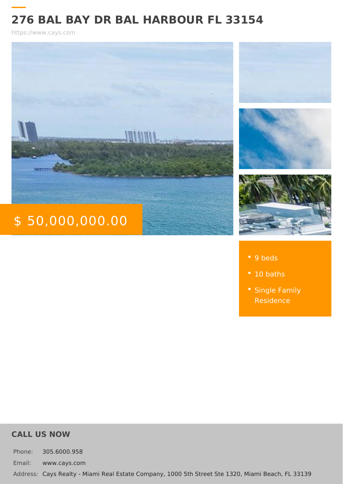## 276 BAL BAY DR BAL HARBOUR FL 33154

https://www.cays.com

# \$ 50,000,000.00

#### 9 beds

- 10 baths
- [Single Fa](https://www.cays.com/es_type/single-family-residence/)mily [Residen](https://www.cays.com/es_type/single-family-residence/)ce

#### CALL US NOW

Phone: 305.6000.958 Email: www.cays.com Addres Cays Realty - Miami Real Estate Company, 1000 5th Street Ste 1320, Mia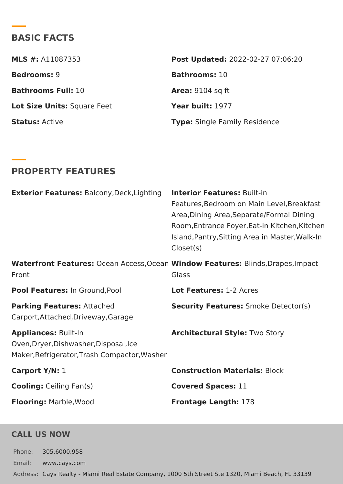## BASIC FACTS

| MLS #:A11087353          | Post Update @022-02-27 07:06:20 |
|--------------------------|---------------------------------|
| Bedrooms9                | Bathroomst0                     |
| Bathrooms FullO          | Area:9104 sq ft                 |
| Lot Size UniSsquare Feet | Year built977                   |
| StatusActive             | Type Single Family Residence    |

## PROPERTY FEATURES

| Exterior FeaturBsalcony, Deck, Lightnitregior FeaturBsu:ilt-in                                               |                                                                                                                                                                       |
|--------------------------------------------------------------------------------------------------------------|-----------------------------------------------------------------------------------------------------------------------------------------------------------------------|
|                                                                                                              | Features, Bedroom on Main Level, B<br>Area, Dining Area, Separate/Formal<br>Room, Entrance Foyer, Eat-in Kitche<br>Island, Pantry, Sitting Area in Maste<br>Closet(s) |
| Front                                                                                                        | Waterfront Featur@scean Access, ONdeadow FeatureBslinds, Drapes, Impa<br>Glass                                                                                        |
| Pool Featurelsn: Ground, Pool                                                                                | Lot Feature\$:2 Acres                                                                                                                                                 |
| Parking FeatureAstached<br>Carport, Attached, Driveway, Garage                                               | Security Featur&smoke Detector(s)                                                                                                                                     |
| Appliance Suilt-In<br>Oven, Dryer, Dishwasher, Disposal, Ice<br>Maker, Refrigerator, Trash Compactor, Washer | Architectural Sty∏wo Story                                                                                                                                            |
| Carport Y/M:                                                                                                 | Construction Materialock                                                                                                                                              |
| CoolingCeiling Fan(s)                                                                                        | Covered Spaces:                                                                                                                                                       |
| FlooringMarble, Wood                                                                                         | Frontage Length78                                                                                                                                                     |

#### CALL US NOW

Phone: 305.6000.958 Email: www.cays.com Addres Cays Realty - Miami Real Estate Company, 1000 5th Street Ste 1320, Mia